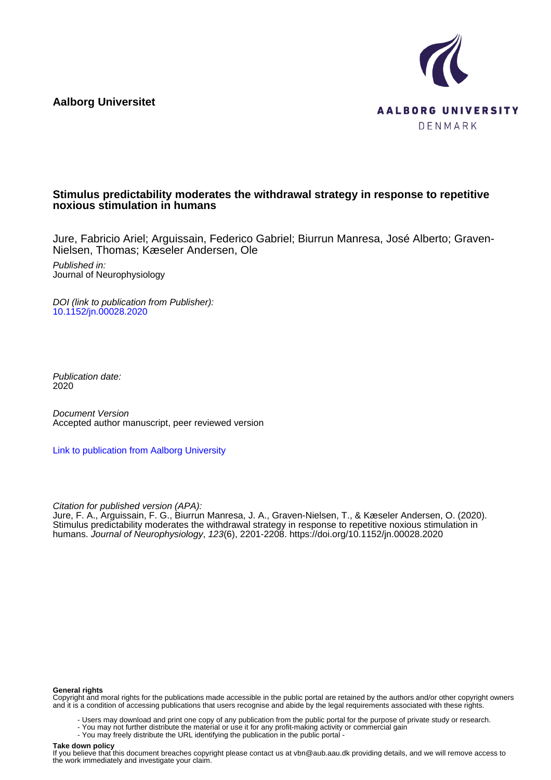**Aalborg Universitet**



## **Stimulus predictability moderates the withdrawal strategy in response to repetitive noxious stimulation in humans**

Jure, Fabricio Ariel; Arguissain, Federico Gabriel; Biurrun Manresa, José Alberto; Graven-Nielsen, Thomas; Kæseler Andersen, Ole

Published in: Journal of Neurophysiology

DOI (link to publication from Publisher): [10.1152/jn.00028.2020](https://doi.org/10.1152/jn.00028.2020)

Publication date: 2020

Document Version Accepted author manuscript, peer reviewed version

[Link to publication from Aalborg University](https://vbn.aau.dk/en/publications/7aa310c3-52eb-46d5-865b-f9ac08e5a882)

Citation for published version (APA):

Jure, F. A., Arguissain, F. G., Biurrun Manresa, J. A., Graven-Nielsen, T., & Kæseler Andersen, O. (2020). Stimulus predictability moderates the withdrawal strategy in response to repetitive noxious stimulation in humans. Journal of Neurophysiology, 123(6), 2201-2208. <https://doi.org/10.1152/jn.00028.2020>

#### **General rights**

Copyright and moral rights for the publications made accessible in the public portal are retained by the authors and/or other copyright owners and it is a condition of accessing publications that users recognise and abide by the legal requirements associated with these rights.

- Users may download and print one copy of any publication from the public portal for the purpose of private study or research.
- You may not further distribute the material or use it for any profit-making activity or commercial gain
- You may freely distribute the URL identifying the publication in the public portal -

#### **Take down policy**

If you believe that this document breaches copyright please contact us at vbn@aub.aau.dk providing details, and we will remove access to the work immediately and investigate your claim.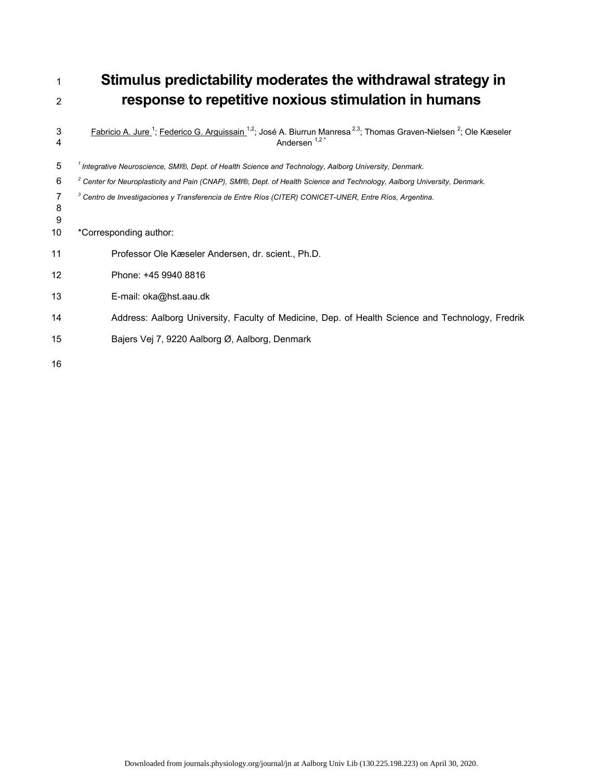<sup>1</sup>**Stimulus predictability moderates the withdrawal strategy in** 

# <sup>2</sup>**response to repetitive noxious stimulation in humans**   $3$  Fabricio A. Jure  $^1$ ; Federico G. Arguissain  $^{1,2}$ ; José A. Biurrun Manresa  $^{2,3}$ ; Thomas Graven-Nielsen  $^2$ ; Ole Kæseler

| 4           | Andersen <sup>1,2*</sup>                                                                                                            |
|-------------|-------------------------------------------------------------------------------------------------------------------------------------|
| 5           | Integrative Neuroscience, SMI®, Dept. of Health Science and Technology, Aalborg University, Denmark.                                |
| 6           | <sup>2</sup> Center for Neuroplasticity and Pain (CNAP), SMI®, Dept. of Health Science and Technology, Aalborg University, Denmark. |
| 7<br>8<br>9 | Centro de Investigaciones y Transferencia de Entre Ríos (CITER) CONICET-UNER, Entre Ríos, Argentina.                                |
| 10          | *Corresponding author:                                                                                                              |
| 11          | Professor Ole Kæseler Andersen, dr. scient., Ph.D.                                                                                  |
| 12          | Phone: +45 9940 8816                                                                                                                |
| 13          | E-mail: oka@hst.aau.dk                                                                                                              |
| 14          | Address: Aalborg University, Faculty of Medicine, Dep. of Health Science and Technology, Fredrik                                    |
| 15          | Bajers Vej 7, 9220 Aalborg Ø, Aalborg, Denmark                                                                                      |
| 16          |                                                                                                                                     |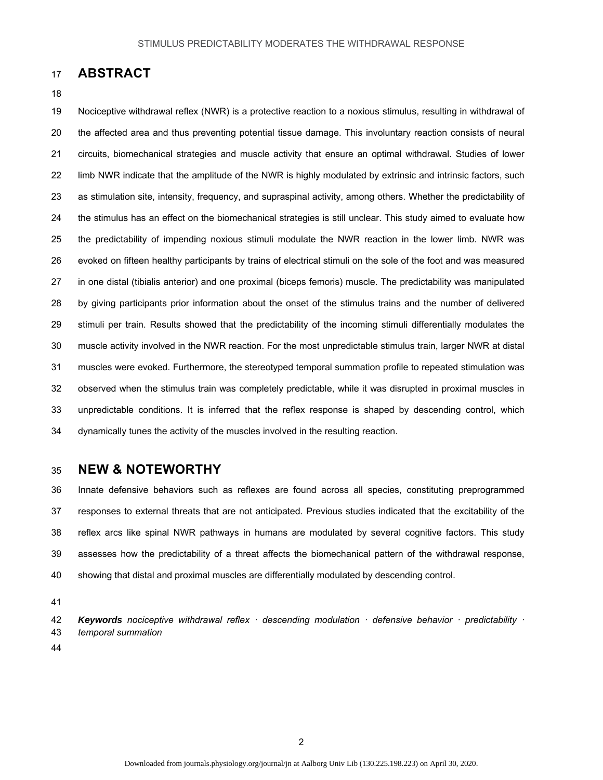# 17 **ABSTRACT**

#### 18

19 Nociceptive withdrawal reflex (NWR) is a protective reaction to a noxious stimulus, resulting in withdrawal of 20 the affected area and thus preventing potential tissue damage. This involuntary reaction consists of neural 21 circuits, biomechanical strategies and muscle activity that ensure an optimal withdrawal. Studies of lower 22 limb NWR indicate that the amplitude of the NWR is highly modulated by extrinsic and intrinsic factors, such 23 as stimulation site, intensity, frequency, and supraspinal activity, among others. Whether the predictability of 24 the stimulus has an effect on the biomechanical strategies is still unclear. This study aimed to evaluate how 25 the predictability of impending noxious stimuli modulate the NWR reaction in the lower limb. NWR was 26 evoked on fifteen healthy participants by trains of electrical stimuli on the sole of the foot and was measured 27 in one distal (tibialis anterior) and one proximal (biceps femoris) muscle. The predictability was manipulated 28 by giving participants prior information about the onset of the stimulus trains and the number of delivered 29 stimuli per train. Results showed that the predictability of the incoming stimuli differentially modulates the 30 muscle activity involved in the NWR reaction. For the most unpredictable stimulus train, larger NWR at distal 31 muscles were evoked. Furthermore, the stereotyped temporal summation profile to repeated stimulation was 32 observed when the stimulus train was completely predictable, while it was disrupted in proximal muscles in 33 unpredictable conditions. It is inferred that the reflex response is shaped by descending control, which 34 dynamically tunes the activity of the muscles involved in the resulting reaction.

## 35 **NEW & NOTEWORTHY**

36 Innate defensive behaviors such as reflexes are found across all species, constituting preprogrammed 37 responses to external threats that are not anticipated. Previous studies indicated that the excitability of the 38 reflex arcs like spinal NWR pathways in humans are modulated by several cognitive factors. This study 39 assesses how the predictability of a threat affects the biomechanical pattern of the withdrawal response, 40 showing that distal and proximal muscles are differentially modulated by descending control.

41

42 *Keywords nociceptive withdrawal reflex ꞏ descending modulation ꞏ defensive behavior ꞏ predictability ꞏ* 43 *temporal summation*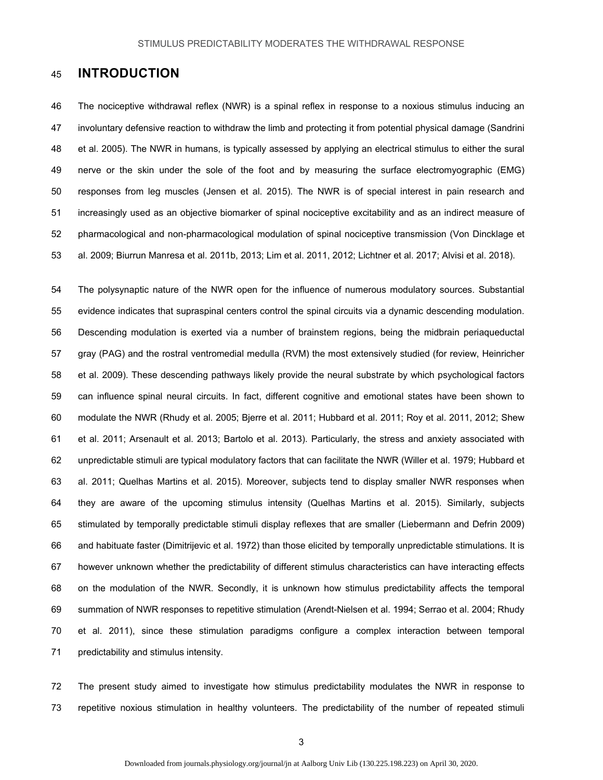## 45 **INTRODUCTION**

46 The nociceptive withdrawal reflex (NWR) is a spinal reflex in response to a noxious stimulus inducing an 47 involuntary defensive reaction to withdraw the limb and protecting it from potential physical damage (Sandrini 48 et al. 2005). The NWR in humans, is typically assessed by applying an electrical stimulus to either the sural 49 nerve or the skin under the sole of the foot and by measuring the surface electromyographic (EMG) 50 responses from leg muscles (Jensen et al. 2015). The NWR is of special interest in pain research and 51 increasingly used as an objective biomarker of spinal nociceptive excitability and as an indirect measure of 52 pharmacological and non-pharmacological modulation of spinal nociceptive transmission (Von Dincklage et 53 al. 2009; Biurrun Manresa et al. 2011b, 2013; Lim et al. 2011, 2012; Lichtner et al. 2017; Alvisi et al. 2018).

54 The polysynaptic nature of the NWR open for the influence of numerous modulatory sources. Substantial 55 evidence indicates that supraspinal centers control the spinal circuits via a dynamic descending modulation. 56 Descending modulation is exerted via a number of brainstem regions, being the midbrain periaqueductal 57 gray (PAG) and the rostral ventromedial medulla (RVM) the most extensively studied (for review, Heinricher 58 et al. 2009). These descending pathways likely provide the neural substrate by which psychological factors 59 can influence spinal neural circuits. In fact, different cognitive and emotional states have been shown to 60 modulate the NWR (Rhudy et al. 2005; Bjerre et al. 2011; Hubbard et al. 2011; Roy et al. 2011, 2012; Shew 61 et al. 2011; Arsenault et al. 2013; Bartolo et al. 2013). Particularly, the stress and anxiety associated with 62 unpredictable stimuli are typical modulatory factors that can facilitate the NWR (Willer et al. 1979; Hubbard et 63 al. 2011; Quelhas Martins et al. 2015). Moreover, subjects tend to display smaller NWR responses when 64 they are aware of the upcoming stimulus intensity (Quelhas Martins et al. 2015). Similarly, subjects 65 stimulated by temporally predictable stimuli display reflexes that are smaller (Liebermann and Defrin 2009) 66 and habituate faster (Dimitrijevic et al. 1972) than those elicited by temporally unpredictable stimulations. It is 67 however unknown whether the predictability of different stimulus characteristics can have interacting effects 68 on the modulation of the NWR. Secondly, it is unknown how stimulus predictability affects the temporal 69 summation of NWR responses to repetitive stimulation (Arendt-Nielsen et al. 1994; Serrao et al. 2004; Rhudy 70 et al. 2011), since these stimulation paradigms configure a complex interaction between temporal 71 predictability and stimulus intensity.

72 The present study aimed to investigate how stimulus predictability modulates the NWR in response to 73 repetitive noxious stimulation in healthy volunteers. The predictability of the number of repeated stimuli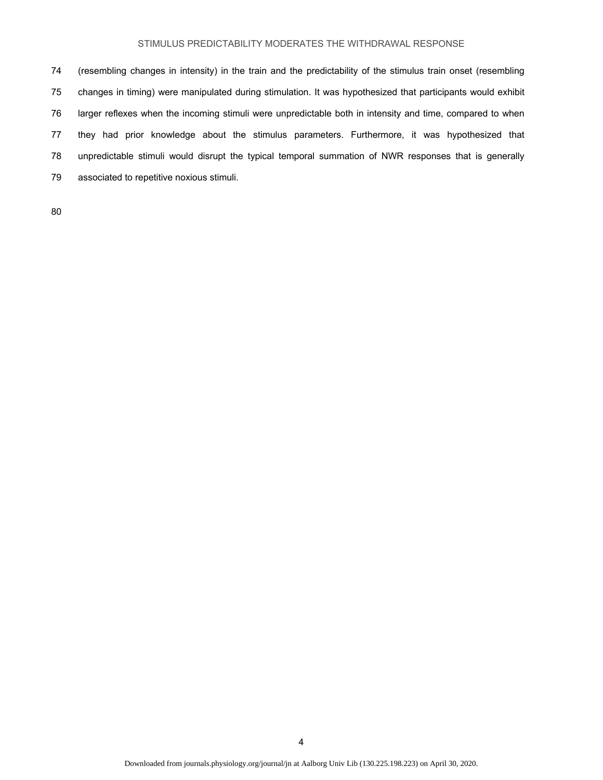74 (resembling changes in intensity) in the train and the predictability of the stimulus train onset (resembling 75 changes in timing) were manipulated during stimulation. It was hypothesized that participants would exhibit 76 larger reflexes when the incoming stimuli were unpredictable both in intensity and time, compared to when 77 they had prior knowledge about the stimulus parameters. Furthermore, it was hypothesized that 78 unpredictable stimuli would disrupt the typical temporal summation of NWR responses that is generally 79 associated to repetitive noxious stimuli.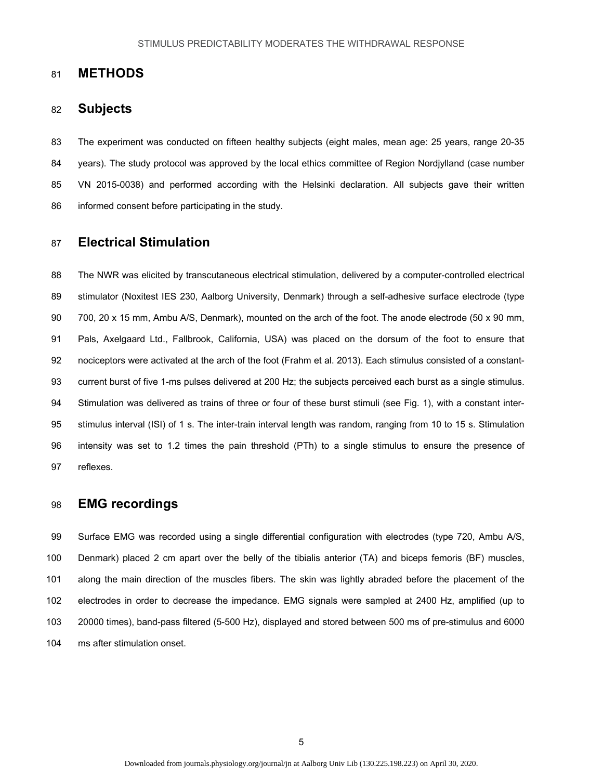## 81 **METHODS**

## 82 **Subjects**

83 The experiment was conducted on fifteen healthy subjects (eight males, mean age: 25 years, range 20-35 84 years). The study protocol was approved by the local ethics committee of Region Nordjylland (case number 85 VN 2015-0038) and performed according with the Helsinki declaration. All subjects gave their written 86 informed consent before participating in the study.

# 87 **Electrical Stimulation**

88 The NWR was elicited by transcutaneous electrical stimulation, delivered by a computer-controlled electrical 89 stimulator (Noxitest IES 230, Aalborg University, Denmark) through a self-adhesive surface electrode (type 90 700, 20 x 15 mm, Ambu A/S, Denmark), mounted on the arch of the foot. The anode electrode (50 x 90 mm, 91 Pals, Axelgaard Ltd., Fallbrook, California, USA) was placed on the dorsum of the foot to ensure that 92 nociceptors were activated at the arch of the foot (Frahm et al. 2013). Each stimulus consisted of a constant-93 current burst of five 1-ms pulses delivered at 200 Hz; the subjects perceived each burst as a single stimulus. 94 Stimulation was delivered as trains of three or four of these burst stimuli (see Fig. 1), with a constant inter-95 stimulus interval (ISI) of 1 s. The inter-train interval length was random, ranging from 10 to 15 s. Stimulation 96 intensity was set to 1.2 times the pain threshold (PTh) to a single stimulus to ensure the presence of 97 reflexes.

## 98 **EMG recordings**

99 Surface EMG was recorded using a single differential configuration with electrodes (type 720, Ambu A/S, 100 Denmark) placed 2 cm apart over the belly of the tibialis anterior (TA) and biceps femoris (BF) muscles, 101 along the main direction of the muscles fibers. The skin was lightly abraded before the placement of the 102 electrodes in order to decrease the impedance. EMG signals were sampled at 2400 Hz, amplified (up to 103 20000 times), band-pass filtered (5-500 Hz), displayed and stored between 500 ms of pre-stimulus and 6000 104 ms after stimulation onset.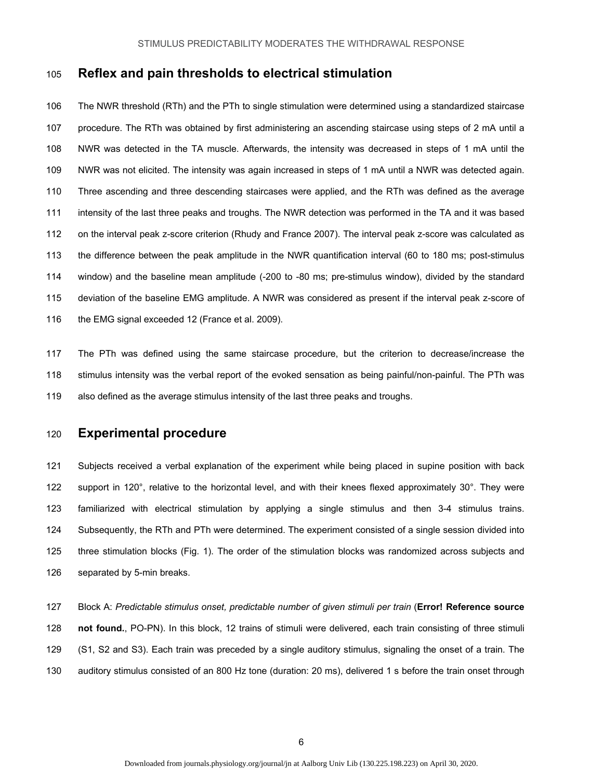## 105 **Reflex and pain thresholds to electrical stimulation**

106 The NWR threshold (RTh) and the PTh to single stimulation were determined using a standardized staircase 107 procedure. The RTh was obtained by first administering an ascending staircase using steps of 2 mA until a 108 NWR was detected in the TA muscle. Afterwards, the intensity was decreased in steps of 1 mA until the 109 NWR was not elicited. The intensity was again increased in steps of 1 mA until a NWR was detected again. 110 Three ascending and three descending staircases were applied, and the RTh was defined as the average 111 intensity of the last three peaks and troughs. The NWR detection was performed in the TA and it was based 112 on the interval peak z-score criterion (Rhudy and France 2007). The interval peak z-score was calculated as 113 the difference between the peak amplitude in the NWR quantification interval (60 to 180 ms; post-stimulus 114 window) and the baseline mean amplitude (-200 to -80 ms; pre-stimulus window), divided by the standard 115 deviation of the baseline EMG amplitude. A NWR was considered as present if the interval peak z-score of 116 the EMG signal exceeded 12 (France et al. 2009).

117 The PTh was defined using the same staircase procedure, but the criterion to decrease/increase the 118 stimulus intensity was the verbal report of the evoked sensation as being painful/non-painful. The PTh was 119 also defined as the average stimulus intensity of the last three peaks and troughs.

# 120 **Experimental procedure**

121 Subjects received a verbal explanation of the experiment while being placed in supine position with back 122 support in 120°, relative to the horizontal level, and with their knees flexed approximately 30°. They were 123 familiarized with electrical stimulation by applying a single stimulus and then 3-4 stimulus trains. 124 Subsequently, the RTh and PTh were determined. The experiment consisted of a single session divided into 125 three stimulation blocks (Fig. 1). The order of the stimulation blocks was randomized across subjects and 126 separated by 5-min breaks.

127 Block A: *Predictable stimulus onset, predictable number of given stimuli per train* (**Error! Reference source**  128 **not found.**, PO-PN). In this block, 12 trains of stimuli were delivered, each train consisting of three stimuli 129 (S1, S2 and S3). Each train was preceded by a single auditory stimulus, signaling the onset of a train. The 130 auditory stimulus consisted of an 800 Hz tone (duration: 20 ms), delivered 1 s before the train onset through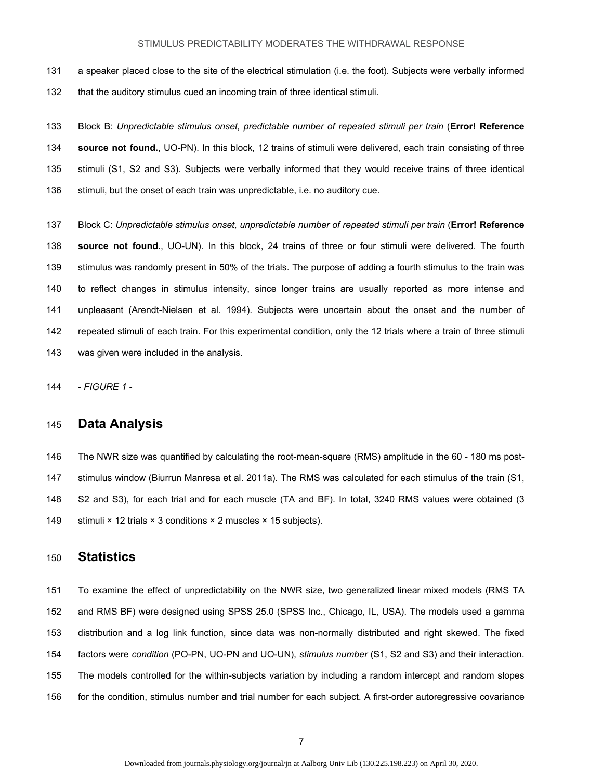131 a speaker placed close to the site of the electrical stimulation (i.e. the foot). Subjects were verbally informed 132 that the auditory stimulus cued an incoming train of three identical stimuli.

133 Block B: *Unpredictable stimulus onset, predictable number of repeated stimuli per train* (**Error! Reference**  134 **source not found.**, UO-PN). In this block, 12 trains of stimuli were delivered, each train consisting of three 135 stimuli (S1, S2 and S3). Subjects were verbally informed that they would receive trains of three identical 136 stimuli, but the onset of each train was unpredictable, i.e. no auditory cue.

137 Block C: *Unpredictable stimulus onset, unpredictable number of repeated stimuli per train* (**Error! Reference**  138 **source not found.**, UO-UN). In this block, 24 trains of three or four stimuli were delivered. The fourth 139 stimulus was randomly present in 50% of the trials. The purpose of adding a fourth stimulus to the train was 140 to reflect changes in stimulus intensity, since longer trains are usually reported as more intense and 141 unpleasant (Arendt-Nielsen et al. 1994). Subjects were uncertain about the onset and the number of 142 repeated stimuli of each train. For this experimental condition, only the 12 trials where a train of three stimuli 143 was given were included in the analysis.

144 *- FIGURE 1 -* 

# 145 **Data Analysis**

146 The NWR size was quantified by calculating the root-mean-square (RMS) amplitude in the 60 - 180 ms post-147 stimulus window (Biurrun Manresa et al. 2011a). The RMS was calculated for each stimulus of the train (S1, 148 S2 and S3), for each trial and for each muscle (TA and BF). In total, 3240 RMS values were obtained (3 149 stimuli × 12 trials × 3 conditions × 2 muscles × 15 subjects).

## 150 **Statistics**

151 To examine the effect of unpredictability on the NWR size, two generalized linear mixed models (RMS TA 152 and RMS BF) were designed using SPSS 25.0 (SPSS Inc., Chicago, IL, USA). The models used a gamma 153 distribution and a log link function, since data was non-normally distributed and right skewed. The fixed 154 factors were *condition* (PO-PN, UO-PN and UO-UN), *stimulus number* (S1, S2 and S3) and their interaction. 155 The models controlled for the within-subjects variation by including a random intercept and random slopes 156 for the condition, stimulus number and trial number for each subject. A first-order autoregressive covariance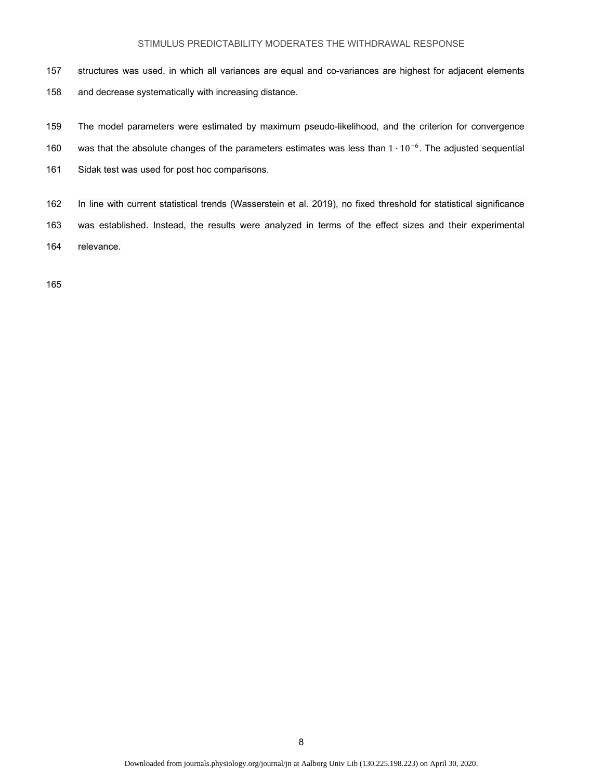- 157 structures was used, in which all variances are equal and co-variances are highest for adjacent elements 158 and decrease systematically with increasing distance.
- 159 The model parameters were estimated by maximum pseudo-likelihood, and the criterion for convergence
- 160 was that the absolute changes of the parameters estimates was less than 1 ⋅ 10<sup>-6</sup>. The adjusted sequential
- 161 Sidak test was used for post hoc comparisons.
- 162 In line with current statistical trends (Wasserstein et al. 2019), no fixed threshold for statistical significance 163 was established. Instead, the results were analyzed in terms of the effect sizes and their experimental 164 relevance.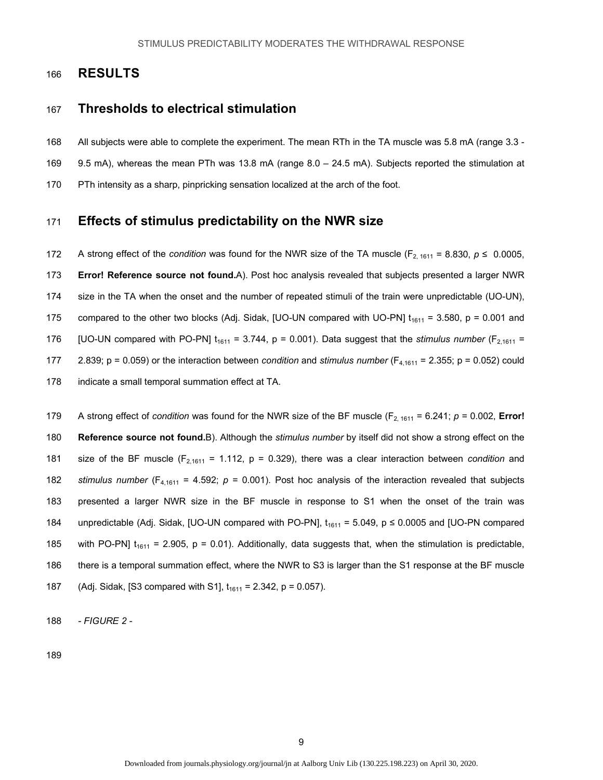## 166 **RESULTS**

## 167 **Thresholds to electrical stimulation**

- 168 All subjects were able to complete the experiment. The mean RTh in the TA muscle was 5.8 mA (range 3.3 -
- 169 9.5 mA), whereas the mean PTh was 13.8 mA (range 8.0 24.5 mA). Subjects reported the stimulation at
- 170 PTh intensity as a sharp, pinpricking sensation localized at the arch of the foot.

# 171 **Effects of stimulus predictability on the NWR size**

172 A strong effect of the *condition* was found for the NWR size of the TA muscle ( $F_{2, 1611} = 8.830$ ,  $p \le 0.0005$ , 173 **Error! Reference source not found.**A). Post hoc analysis revealed that subjects presented a larger NWR 174 size in the TA when the onset and the number of repeated stimuli of the train were unpredictable (UO-UN), 175 compared to the other two blocks (Adj. Sidak, [UO-UN compared with UO-PN]  $t_{1611} = 3.580$ , p = 0.001 and 176 [UO-UN compared with PO-PN]  $t_{1611} = 3.744$ , p = 0.001). Data suggest that the *stimulus number* ( $F_{2,1611} =$ 177 2.839; p = 0.059) or the interaction between *condition* and *stimulus number* (F4,1611 = 2.355; p = 0.052) could 178 indicate a small temporal summation effect at TA.

179 A strong effect of *condition* was found for the NWR size of the BF muscle ( $F_{2, 1611} = 6.241$ ;  $p = 0.002$ , **Error!** 180 **Reference source not found.**B). Although the *stimulus number* by itself did not show a strong effect on the 181 size of the BF muscle  $(F_{2,1611} = 1.112, p = 0.329)$ , there was a clear interaction between *condition* and 182 *stimulus number* (F4,1611 = 4.592; *p* = 0.001). Post hoc analysis of the interaction revealed that subjects 183 presented a larger NWR size in the BF muscle in response to S1 when the onset of the train was 184 unpredictable (Adj. Sidak, [UO-UN compared with PO-PN],  $t_{1611} = 5.049$ ,  $p \le 0.0005$  and [UO-PN compared 185 with PO-PN]  $t_{1611} = 2.905$ , p = 0.01). Additionally, data suggests that, when the stimulation is predictable, 186 there is a temporal summation effect, where the NWR to S3 is larger than the S1 response at the BF muscle 187 (Adj. Sidak, [S3 compared with S1],  $t_{1611} = 2.342$ , p = 0.057).

188 *- FIGURE 2 -*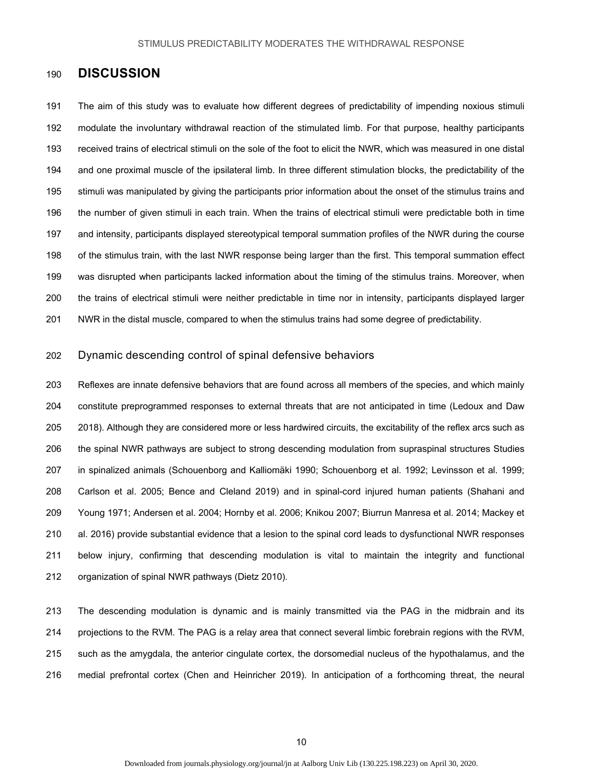### 190 **DISCUSSION**

191 The aim of this study was to evaluate how different degrees of predictability of impending noxious stimuli 192 modulate the involuntary withdrawal reaction of the stimulated limb. For that purpose, healthy participants 193 received trains of electrical stimuli on the sole of the foot to elicit the NWR, which was measured in one distal 194 and one proximal muscle of the ipsilateral limb. In three different stimulation blocks, the predictability of the 195 stimuli was manipulated by giving the participants prior information about the onset of the stimulus trains and 196 the number of given stimuli in each train. When the trains of electrical stimuli were predictable both in time 197 and intensity, participants displayed stereotypical temporal summation profiles of the NWR during the course 198 of the stimulus train, with the last NWR response being larger than the first. This temporal summation effect 199 was disrupted when participants lacked information about the timing of the stimulus trains. Moreover, when 200 the trains of electrical stimuli were neither predictable in time nor in intensity, participants displayed larger 201 NWR in the distal muscle, compared to when the stimulus trains had some degree of predictability.

#### 202 Dynamic descending control of spinal defensive behaviors

203 Reflexes are innate defensive behaviors that are found across all members of the species, and which mainly 204 constitute preprogrammed responses to external threats that are not anticipated in time (Ledoux and Daw 205 2018). Although they are considered more or less hardwired circuits, the excitability of the reflex arcs such as 206 the spinal NWR pathways are subject to strong descending modulation from supraspinal structures Studies 207 in spinalized animals (Schouenborg and Kalliomäki 1990; Schouenborg et al. 1992; Levinsson et al. 1999; 208 Carlson et al. 2005; Bence and Cleland 2019) and in spinal-cord injured human patients (Shahani and 209 Young 1971; Andersen et al. 2004; Hornby et al. 2006; Knikou 2007; Biurrun Manresa et al. 2014; Mackey et 210 al. 2016) provide substantial evidence that a lesion to the spinal cord leads to dysfunctional NWR responses 211 below injury, confirming that descending modulation is vital to maintain the integrity and functional 212 organization of spinal NWR pathways (Dietz 2010).

213 The descending modulation is dynamic and is mainly transmitted via the PAG in the midbrain and its 214 projections to the RVM. The PAG is a relay area that connect several limbic forebrain regions with the RVM, 215 such as the amygdala, the anterior cingulate cortex, the dorsomedial nucleus of the hypothalamus, and the 216 medial prefrontal cortex (Chen and Heinricher 2019). In anticipation of a forthcoming threat, the neural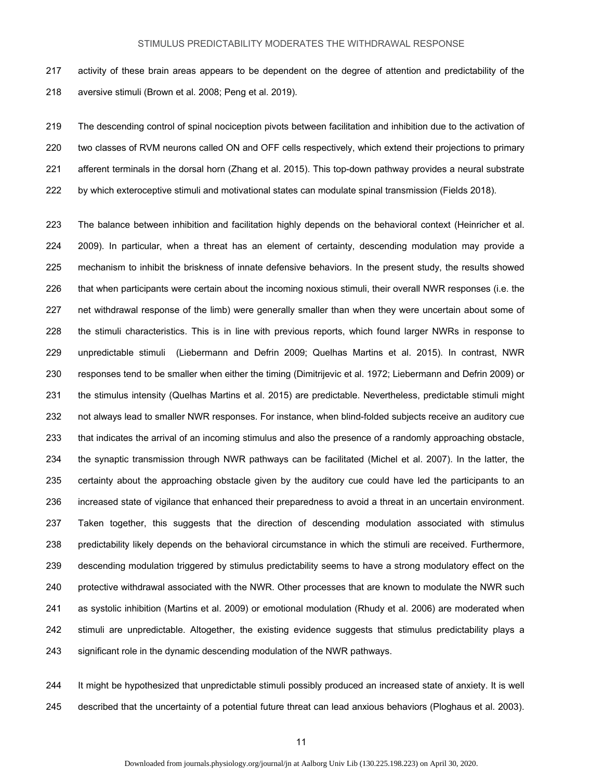217 activity of these brain areas appears to be dependent on the degree of attention and predictability of the 218 aversive stimuli (Brown et al. 2008; Peng et al. 2019).

219 The descending control of spinal nociception pivots between facilitation and inhibition due to the activation of 220 two classes of RVM neurons called ON and OFF cells respectively, which extend their projections to primary 221 afferent terminals in the dorsal horn (Zhang et al. 2015). This top-down pathway provides a neural substrate 222 by which exteroceptive stimuli and motivational states can modulate spinal transmission (Fields 2018).

223 The balance between inhibition and facilitation highly depends on the behavioral context (Heinricher et al. 224 2009). In particular, when a threat has an element of certainty, descending modulation may provide a 225 mechanism to inhibit the briskness of innate defensive behaviors. In the present study, the results showed 226 that when participants were certain about the incoming noxious stimuli, their overall NWR responses (i.e. the 227 net withdrawal response of the limb) were generally smaller than when they were uncertain about some of 228 the stimuli characteristics. This is in line with previous reports, which found larger NWRs in response to 229 unpredictable stimuli (Liebermann and Defrin 2009; Quelhas Martins et al. 2015). In contrast, NWR 230 responses tend to be smaller when either the timing (Dimitrijevic et al. 1972; Liebermann and Defrin 2009) or 231 the stimulus intensity (Quelhas Martins et al. 2015) are predictable. Nevertheless, predictable stimuli might 232 not always lead to smaller NWR responses. For instance, when blind-folded subjects receive an auditory cue 233 that indicates the arrival of an incoming stimulus and also the presence of a randomly approaching obstacle, 234 the synaptic transmission through NWR pathways can be facilitated (Michel et al. 2007). In the latter, the 235 certainty about the approaching obstacle given by the auditory cue could have led the participants to an 236 increased state of vigilance that enhanced their preparedness to avoid a threat in an uncertain environment. 237 Taken together, this suggests that the direction of descending modulation associated with stimulus 238 predictability likely depends on the behavioral circumstance in which the stimuli are received. Furthermore, 239 descending modulation triggered by stimulus predictability seems to have a strong modulatory effect on the 240 protective withdrawal associated with the NWR. Other processes that are known to modulate the NWR such 241 as systolic inhibition (Martins et al. 2009) or emotional modulation (Rhudy et al. 2006) are moderated when 242 stimuli are unpredictable. Altogether, the existing evidence suggests that stimulus predictability plays a 243 significant role in the dynamic descending modulation of the NWR pathways.

244 It might be hypothesized that unpredictable stimuli possibly produced an increased state of anxiety. It is well 245 described that the uncertainty of a potential future threat can lead anxious behaviors (Ploghaus et al. 2003).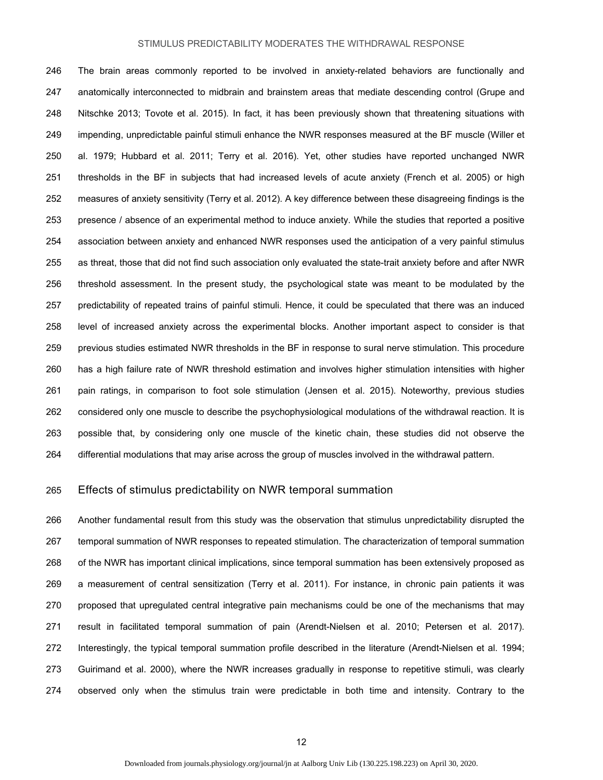246 The brain areas commonly reported to be involved in anxiety-related behaviors are functionally and 247 anatomically interconnected to midbrain and brainstem areas that mediate descending control (Grupe and 248 Nitschke 2013; Tovote et al. 2015). In fact, it has been previously shown that threatening situations with 249 impending, unpredictable painful stimuli enhance the NWR responses measured at the BF muscle (Willer et 250 al. 1979; Hubbard et al. 2011; Terry et al. 2016). Yet, other studies have reported unchanged NWR 251 thresholds in the BF in subjects that had increased levels of acute anxiety (French et al. 2005) or high 252 measures of anxiety sensitivity (Terry et al. 2012). A key difference between these disagreeing findings is the 253 presence / absence of an experimental method to induce anxiety. While the studies that reported a positive 254 association between anxiety and enhanced NWR responses used the anticipation of a very painful stimulus 255 as threat, those that did not find such association only evaluated the state-trait anxiety before and after NWR 256 threshold assessment. In the present study, the psychological state was meant to be modulated by the 257 predictability of repeated trains of painful stimuli. Hence, it could be speculated that there was an induced 258 level of increased anxiety across the experimental blocks. Another important aspect to consider is that 259 previous studies estimated NWR thresholds in the BF in response to sural nerve stimulation. This procedure 260 has a high failure rate of NWR threshold estimation and involves higher stimulation intensities with higher 261 pain ratings, in comparison to foot sole stimulation (Jensen et al. 2015). Noteworthy, previous studies 262 considered only one muscle to describe the psychophysiological modulations of the withdrawal reaction. It is 263 possible that, by considering only one muscle of the kinetic chain, these studies did not observe the 264 differential modulations that may arise across the group of muscles involved in the withdrawal pattern.

#### 265 Effects of stimulus predictability on NWR temporal summation

266 Another fundamental result from this study was the observation that stimulus unpredictability disrupted the 267 temporal summation of NWR responses to repeated stimulation. The characterization of temporal summation 268 of the NWR has important clinical implications, since temporal summation has been extensively proposed as 269 a measurement of central sensitization (Terry et al. 2011). For instance, in chronic pain patients it was 270 proposed that upregulated central integrative pain mechanisms could be one of the mechanisms that may 271 result in facilitated temporal summation of pain (Arendt-Nielsen et al. 2010; Petersen et al. 2017). 272 Interestingly, the typical temporal summation profile described in the literature (Arendt-Nielsen et al. 1994; 273 Guirimand et al. 2000), where the NWR increases gradually in response to repetitive stimuli, was clearly 274 observed only when the stimulus train were predictable in both time and intensity. Contrary to the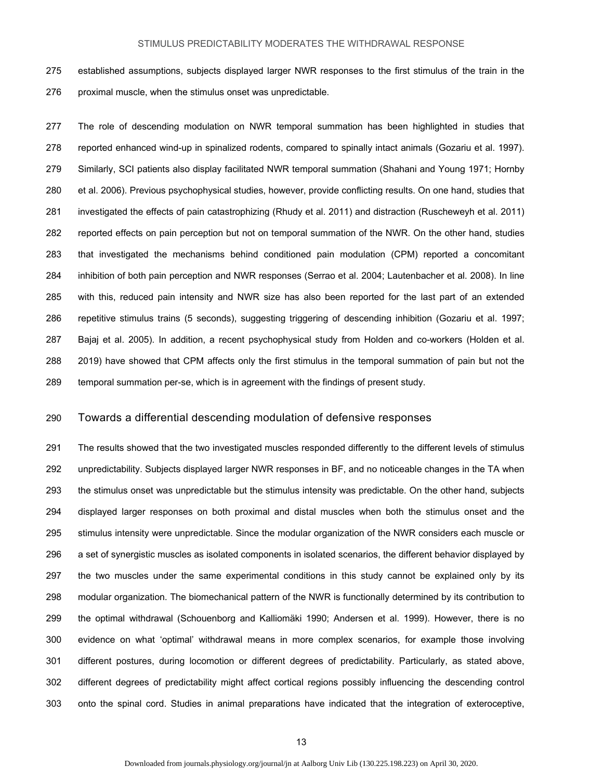275 established assumptions, subjects displayed larger NWR responses to the first stimulus of the train in the 276 proximal muscle, when the stimulus onset was unpredictable.

277 The role of descending modulation on NWR temporal summation has been highlighted in studies that 278 reported enhanced wind-up in spinalized rodents, compared to spinally intact animals (Gozariu et al. 1997). 279 Similarly, SCI patients also display facilitated NWR temporal summation (Shahani and Young 1971; Hornby 280 et al. 2006). Previous psychophysical studies, however, provide conflicting results. On one hand, studies that 281 investigated the effects of pain catastrophizing (Rhudy et al. 2011) and distraction (Ruscheweyh et al. 2011) 282 reported effects on pain perception but not on temporal summation of the NWR. On the other hand, studies 283 that investigated the mechanisms behind conditioned pain modulation (CPM) reported a concomitant 284 inhibition of both pain perception and NWR responses (Serrao et al. 2004; Lautenbacher et al. 2008). In line 285 with this, reduced pain intensity and NWR size has also been reported for the last part of an extended 286 repetitive stimulus trains (5 seconds), suggesting triggering of descending inhibition (Gozariu et al. 1997; 287 Bajaj et al. 2005). In addition, a recent psychophysical study from Holden and co-workers (Holden et al. 288 2019) have showed that CPM affects only the first stimulus in the temporal summation of pain but not the 289 temporal summation per-se, which is in agreement with the findings of present study.

#### 290 Towards a differential descending modulation of defensive responses

291 The results showed that the two investigated muscles responded differently to the different levels of stimulus 292 unpredictability. Subjects displayed larger NWR responses in BF, and no noticeable changes in the TA when 293 the stimulus onset was unpredictable but the stimulus intensity was predictable. On the other hand, subjects 294 displayed larger responses on both proximal and distal muscles when both the stimulus onset and the 295 stimulus intensity were unpredictable. Since the modular organization of the NWR considers each muscle or 296 a set of synergistic muscles as isolated components in isolated scenarios, the different behavior displayed by 297 the two muscles under the same experimental conditions in this study cannot be explained only by its 298 modular organization. The biomechanical pattern of the NWR is functionally determined by its contribution to 299 the optimal withdrawal (Schouenborg and Kalliomäki 1990; Andersen et al. 1999). However, there is no 300 evidence on what 'optimal' withdrawal means in more complex scenarios, for example those involving 301 different postures, during locomotion or different degrees of predictability. Particularly, as stated above, 302 different degrees of predictability might affect cortical regions possibly influencing the descending control 303 onto the spinal cord. Studies in animal preparations have indicated that the integration of exteroceptive,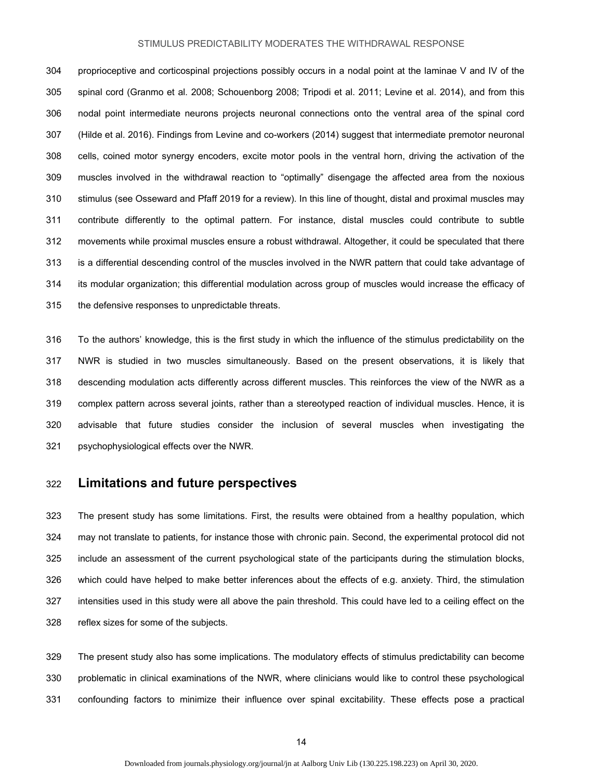304 proprioceptive and corticospinal projections possibly occurs in a nodal point at the laminae V and IV of the 305 spinal cord (Granmo et al. 2008; Schouenborg 2008; Tripodi et al. 2011; Levine et al. 2014), and from this 306 nodal point intermediate neurons projects neuronal connections onto the ventral area of the spinal cord 307 (Hilde et al. 2016). Findings from Levine and co-workers (2014) suggest that intermediate premotor neuronal 308 cells, coined motor synergy encoders, excite motor pools in the ventral horn, driving the activation of the 309 muscles involved in the withdrawal reaction to "optimally" disengage the affected area from the noxious 310 stimulus (see Osseward and Pfaff 2019 for a review). In this line of thought, distal and proximal muscles may 311 contribute differently to the optimal pattern. For instance, distal muscles could contribute to subtle 312 movements while proximal muscles ensure a robust withdrawal. Altogether, it could be speculated that there 313 is a differential descending control of the muscles involved in the NWR pattern that could take advantage of 314 its modular organization; this differential modulation across group of muscles would increase the efficacy of 315 the defensive responses to unpredictable threats.

316 To the authors' knowledge, this is the first study in which the influence of the stimulus predictability on the 317 NWR is studied in two muscles simultaneously. Based on the present observations, it is likely that 318 descending modulation acts differently across different muscles. This reinforces the view of the NWR as a 319 complex pattern across several joints, rather than a stereotyped reaction of individual muscles. Hence, it is 320 advisable that future studies consider the inclusion of several muscles when investigating the 321 psychophysiological effects over the NWR.

## 322 **Limitations and future perspectives**

323 The present study has some limitations. First, the results were obtained from a healthy population, which 324 may not translate to patients, for instance those with chronic pain. Second, the experimental protocol did not 325 include an assessment of the current psychological state of the participants during the stimulation blocks, 326 which could have helped to make better inferences about the effects of e.g. anxiety. Third, the stimulation 327 intensities used in this study were all above the pain threshold. This could have led to a ceiling effect on the 328 reflex sizes for some of the subjects.

329 The present study also has some implications. The modulatory effects of stimulus predictability can become 330 problematic in clinical examinations of the NWR, where clinicians would like to control these psychological 331 confounding factors to minimize their influence over spinal excitability. These effects pose a practical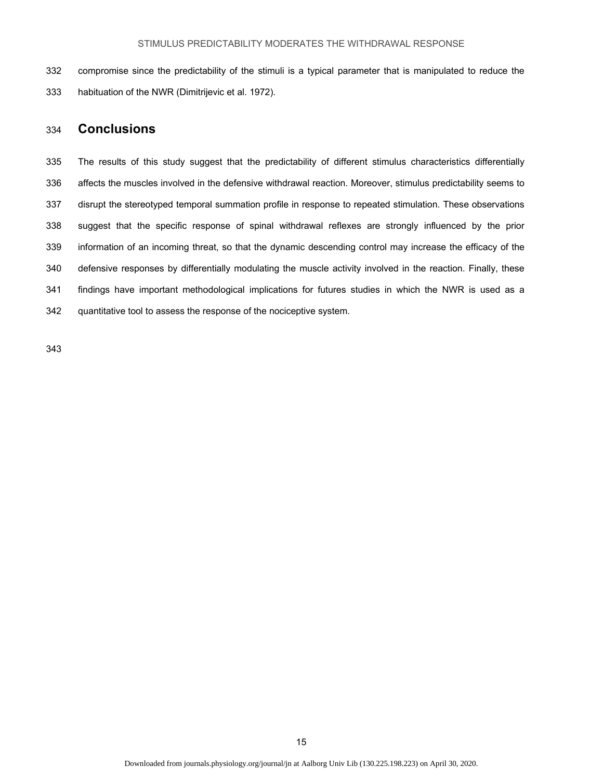332 compromise since the predictability of the stimuli is a typical parameter that is manipulated to reduce the 333 habituation of the NWR (Dimitrijevic et al. 1972).

# 334 **Conclusions**

335 The results of this study suggest that the predictability of different stimulus characteristics differentially 336 affects the muscles involved in the defensive withdrawal reaction. Moreover, stimulus predictability seems to 337 disrupt the stereotyped temporal summation profile in response to repeated stimulation. These observations 338 suggest that the specific response of spinal withdrawal reflexes are strongly influenced by the prior 339 information of an incoming threat, so that the dynamic descending control may increase the efficacy of the 340 defensive responses by differentially modulating the muscle activity involved in the reaction. Finally, these 341 findings have important methodological implications for futures studies in which the NWR is used as a 342 quantitative tool to assess the response of the nociceptive system.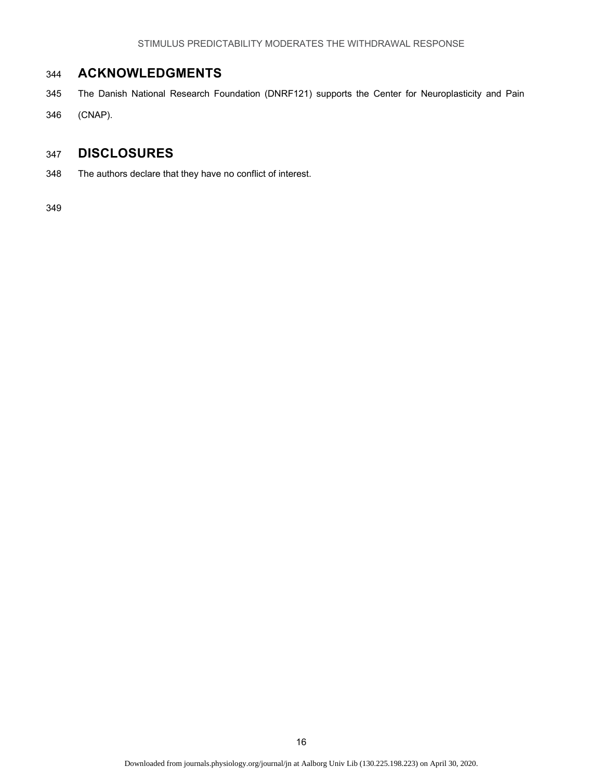# 344 **ACKNOWLEDGMENTS**

- 345 The Danish National Research Foundation (DNRF121) supports the Center for Neuroplasticity and Pain
- 346 (CNAP).

# 347 **DISCLOSURES**

348 The authors declare that they have no conflict of interest.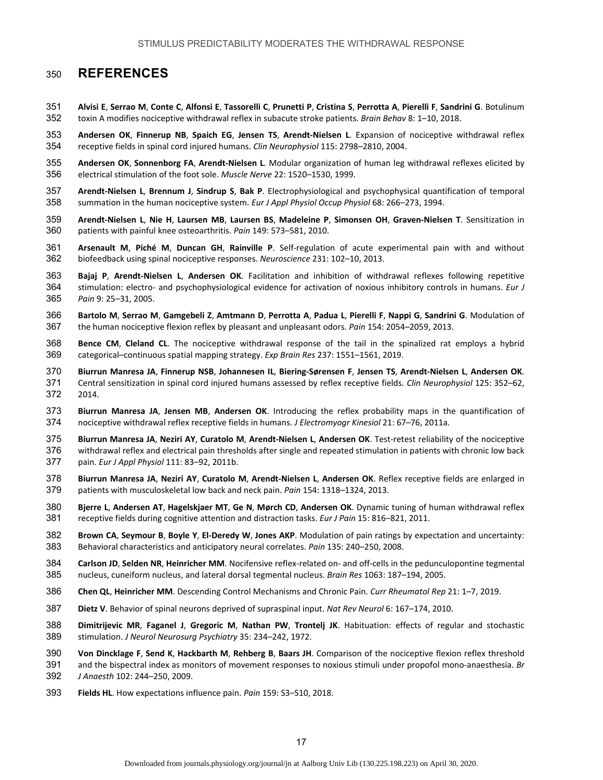# **REFERENCES**

- **Alvisi E**, **Serrao M**, **Conte C**, **Alfonsi E**, **Tassorelli C**, **Prunetti P**, **Cristina S**, **Perrotta A**, **Pierelli F**, **Sandrini G**. Botulinum toxin A modifies nociceptive withdrawal reflex in subacute stroke patients. *Brain Behav* 8: 1–10, 2018.
- **Andersen OK**, **Finnerup NB**, **Spaich EG**, **Jensen TS**, **Arendt‐Nielsen L**. Expansion of nociceptive withdrawal reflex receptive fields in spinal cord injured humans. *Clin Neurophysiol* 115: 2798–2810, 2004.
- **Andersen OK**, **Sonnenborg FA**, **Arendt‐Nielsen L**. Modular organization of human leg withdrawal reflexes elicited by electrical stimulation of the foot sole. *Muscle Nerve* 22: 1520–1530, 1999.
- **Arendt‐Nielsen L**, **Brennum J**, **Sindrup S**, **Bak P**. Electrophysiological and psychophysical quantification of temporal summation in the human nociceptive system. *Eur J Appl Physiol Occup Physiol* 68: 266–273, 1994.
- **Arendt‐Nielsen L**, **Nie H**, **Laursen MB**, **Laursen BS**, **Madeleine P**, **Simonsen OH**, **Graven‐Nielsen T**. Sensitization in patients with painful knee osteoarthritis. *Pain* 149: 573–581, 2010.
- **Arsenault M**, **Piché M**, **Duncan GH**, **Rainville P**. Self‐regulation of acute experimental pain with and without biofeedback using spinal nociceptive responses. *Neuroscience* 231: 102–10, 2013.
- **Bajaj P**, **Arendt‐Nielsen L**, **Andersen OK**. Facilitation and inhibition of withdrawal reflexes following repetitive stimulation: electro‐ and psychophysiological evidence for activation of noxious inhibitory controls in humans. *Eur J Pain* 9: 25–31, 2005.
- **Bartolo M**, **Serrao M**, **Gamgebeli Z**, **Amtmann D**, **Perrotta A**, **Padua L**, **Pierelli F**, **Nappi G**, **Sandrini G**. Modulation of the human nociceptive flexion reflex by pleasant and unpleasant odors. *Pain* 154: 2054–2059, 2013.
- **Bence CM**, **Cleland CL**. The nociceptive withdrawal response of the tail in the spinalized rat employs a hybrid categorical–continuous spatial mapping strategy. *Exp Brain Res* 237: 1551–1561, 2019.
- **Biurrun Manresa JA**, **Finnerup NSB**, **Johannesen IL**, **Biering‐Sørensen F**, **Jensen TS**, **Arendt‐Nielsen L**, **Andersen OK**.
- Central sensitization in spinal cord injured humans assessed by reflex receptive fields. *Clin Neurophysiol* 125: 352–62, 2014.
- **Biurrun Manresa JA**, **Jensen MB**, **Andersen OK**. Introducing the reflex probability maps in the quantification of nociceptive withdrawal reflex receptive fields in humans. *J Electromyogr Kinesiol* 21: 67–76, 2011a.
- **Biurrun Manresa JA**, **Neziri AY**, **Curatolo M**, **Arendt‐Nielsen L**, **Andersen OK**. Test‐retest reliability of the nociceptive withdrawal reflex and electrical pain thresholds after single and repeated stimulation in patients with chronic low back pain. *Eur J Appl Physiol* 111: 83–92, 2011b.
- **Biurrun Manresa JA**, **Neziri AY**, **Curatolo M**, **Arendt‐Nielsen L**, **Andersen OK**. Reflex receptive fields are enlarged in patients with musculoskeletal low back and neck pain. *Pain* 154: 1318–1324, 2013.
- **Bjerre L**, **Andersen AT**, **Hagelskjaer MT**, **Ge N**, **Mørch CD**, **Andersen OK**. Dynamic tuning of human withdrawal reflex receptive fields during cognitive attention and distraction tasks. *Eur J Pain* 15: 816–821, 2011.
- **Brown CA**, **Seymour B**, **Boyle Y**, **El‐Deredy W**, **Jones AKP**. Modulation of pain ratings by expectation and uncertainty: Behavioral characteristics and anticipatory neural correlates. *Pain* 135: 240–250, 2008.
- **Carlson JD**, **Selden NR**, **Heinricher MM**. Nocifensive reflex‐related on‐ and off‐cells in the pedunculopontine tegmental nucleus, cuneiform nucleus, and lateral dorsal tegmental nucleus. *Brain Res* 1063: 187–194, 2005.
- **Chen QL**, **Heinricher MM**. Descending Control Mechanisms and Chronic Pain. *Curr Rheumatol Rep* 21: 1–7, 2019.
- **Dietz V**. Behavior of spinal neurons deprived of supraspinal input. *Nat Rev Neurol* 6: 167–174, 2010.
- **Dimitrijevic MR**, **Faganel J**, **Gregoric M**, **Nathan PW**, **Trontelj JK**. Habituation: effects of regular and stochastic stimulation. *J Neurol Neurosurg Psychiatry* 35: 234–242, 1972.
- **Von Dincklage F**, **Send K**, **Hackbarth M**, **Rehberg B**, **Baars JH**. Comparison of the nociceptive flexion reflex threshold
- and the bispectral index as monitors of movement responses to noxious stimuli under propofol mono‐anaesthesia. *Br J Anaesth* 102: 244–250, 2009.
- **Fields HL**. How expectations influence pain. *Pain* 159: S3–S10, 2018.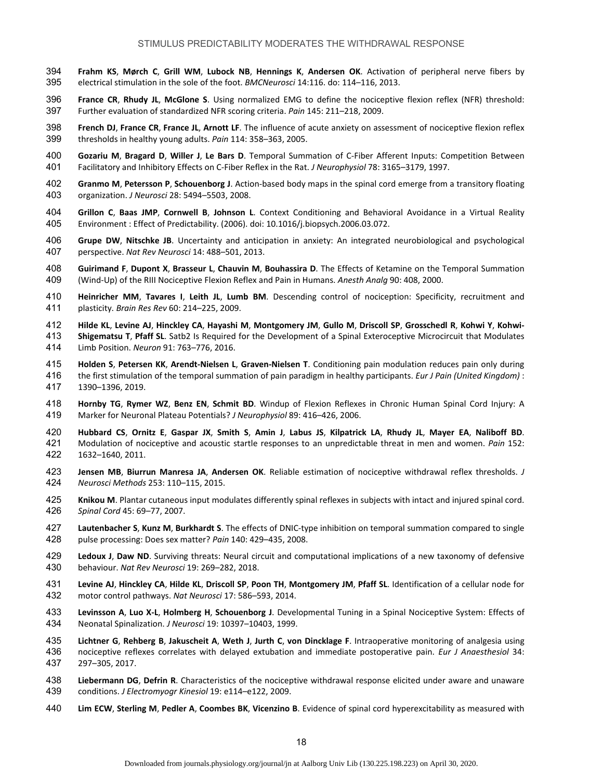- **Frahm KS**, **Mørch C**, **Grill WM**, **Lubock NB**, **Hennings K**, **Andersen OK**. Activation of peripheral nerve fibers by electrical stimulation in the sole of the foot. *BMCNeurosci* 14:116. do: 114–116, 2013.
- **France CR**, **Rhudy JL**, **McGlone S**. Using normalized EMG to define the nociceptive flexion reflex (NFR) threshold: Further evaluation of standardized NFR scoring criteria. *Pain* 145: 211–218, 2009.
- **French DJ**, **France CR**, **France JL**, **Arnott LF**. The influence of acute anxiety on assessment of nociceptive flexion reflex thresholds in healthy young adults. *Pain* 114: 358–363, 2005.
- **Gozariu M**, **Bragard D**, **Willer J**, **Le Bars D**. Temporal Summation of C‐Fiber Afferent Inputs: Competition Between Facilitatory and Inhibitory Effects on C‐Fiber Reflex in the Rat. *J Neurophysiol* 78: 3165–3179, 1997.
- **Granmo M**, **Petersson P**, **Schouenborg J**. Action‐based body maps in the spinal cord emerge from a transitory floating organization. *J Neurosci* 28: 5494–5503, 2008.
- **Grillon C**, **Baas JMP**, **Cornwell B**, **Johnson L**. Context Conditioning and Behavioral Avoidance in a Virtual Reality Environment : Effect of Predictability. (2006). doi: 10.1016/j.biopsych.2006.03.072.
- **Grupe DW**, **Nitschke JB**. Uncertainty and anticipation in anxiety: An integrated neurobiological and psychological perspective. *Nat Rev Neurosci* 14: 488–501, 2013.
- **Guirimand F**, **Dupont X**, **Brasseur L**, **Chauvin M**, **Bouhassira D**. The Effects of Ketamine on the Temporal Summation (Wind‐Up) of the RIII Nociceptive Flexion Reflex and Pain in Humans. *Anesth Analg* 90: 408, 2000.
- **Heinricher MM**, **Tavares I**, **Leith JL**, **Lumb BM**. Descending control of nociception: Specificity, recruitment and plasticity. *Brain Res Rev* 60: 214–225, 2009.
- **Hilde KL**, **Levine AJ**, **Hinckley CA**, **Hayashi M**, **Montgomery JM**, **Gullo M**, **Driscoll SP**, **Grosschedl R**, **Kohwi Y**, **Kohwi‐**
- **Shigematsu T**, **Pfaff SL**. Satb2 Is Required for the Development of a Spinal Exteroceptive Microcircuit that Modulates Limb Position. *Neuron* 91: 763–776, 2016.
- **Holden S**, **Petersen KK**, **Arendt‐Nielsen L**, **Graven‐Nielsen T**. Conditioning pain modulation reduces pain only during the first stimulation of the temporal summation of pain paradigm in healthy participants. *Eur J Pain (United Kingdom)* : 1390–1396, 2019.
- **Hornby TG**, **Rymer WZ**, **Benz EN**, **Schmit BD**. Windup of Flexion Reflexes in Chronic Human Spinal Cord Injury: A Marker for Neuronal Plateau Potentials? *J Neurophysiol* 89: 416–426, 2006.
- **Hubbard CS**, **Ornitz E**, **Gaspar JX**, **Smith S**, **Amin J**, **Labus JS**, **Kilpatrick LA**, **Rhudy JL**, **Mayer EA**, **Naliboff BD**. 421 Modulation of nociceptive and acoustic startle responses to an unpredictable threat in men and women. *Pain* 152: 1632–1640, 2011.
- **Jensen MB**, **Biurrun Manresa JA**, **Andersen OK**. Reliable estimation of nociceptive withdrawal reflex thresholds. *J Neurosci Methods* 253: 110–115, 2015.
- **Knikou M**. Plantar cutaneous input modulates differently spinal reflexes in subjects with intact and injured spinal cord. *Spinal Cord* 45: 69–77, 2007.
- **Lautenbacher S**, **Kunz M**, **Burkhardt S**. The effects of DNIC‐type inhibition on temporal summation compared to single pulse processing: Does sex matter? *Pain* 140: 429–435, 2008.
- **Ledoux J**, **Daw ND**. Surviving threats: Neural circuit and computational implications of a new taxonomy of defensive behaviour. *Nat Rev Neurosci* 19: 269–282, 2018.
- **Levine AJ**, **Hinckley CA**, **Hilde KL**, **Driscoll SP**, **Poon TH**, **Montgomery JM**, **Pfaff SL**. Identification of a cellular node for motor control pathways. *Nat Neurosci* 17: 586–593, 2014.
- **Levinsson A**, **Luo X‐L**, **Holmberg H**, **Schouenborg J**. Developmental Tuning in a Spinal Nociceptive System: Effects of Neonatal Spinalization. *J Neurosci* 19: 10397–10403, 1999.
- **Lichtner G**, **Rehberg B**, **Jakuscheit A**, **Weth J**, **Jurth C**, **von Dincklage F**. Intraoperative monitoring of analgesia using nociceptive reflexes correlates with delayed extubation and immediate postoperative pain. *Eur J Anaesthesiol* 34: 297–305, 2017.
- **Liebermann DG**, **Defrin R**. Characteristics of the nociceptive withdrawal response elicited under aware and unaware conditions. *J Electromyogr Kinesiol* 19: e114–e122, 2009.
- **Lim ECW**, **Sterling M**, **Pedler A**, **Coombes BK**, **Vicenzino B**. Evidence of spinal cord hyperexcitability as measured with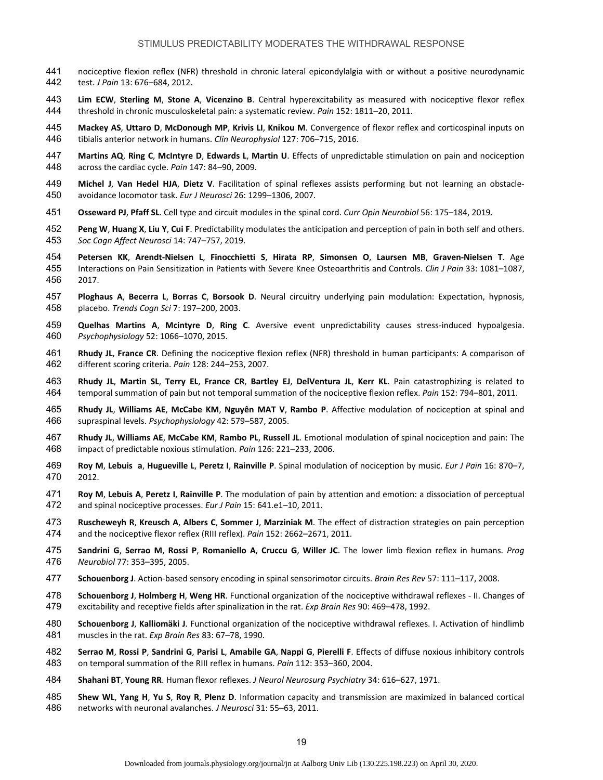- nociceptive flexion reflex (NFR) threshold in chronic lateral epicondylalgia with or without a positive neurodynamic test. *J Pain* 13: 676–684, 2012.
- **Lim ECW**, **Sterling M**, **Stone A**, **Vicenzino B**. Central hyperexcitability as measured with nociceptive flexor reflex threshold in chronic musculoskeletal pain: a systematic review. *Pain* 152: 1811–20, 2011.
- **Mackey AS**, **Uttaro D**, **McDonough MP**, **Krivis LI**, **Knikou M**. Convergence of flexor reflex and corticospinal inputs on tibialis anterior network in humans. *Clin Neurophysiol* 127: 706–715, 2016.
- **Martins AQ**, **Ring C**, **McIntyre D**, **Edwards L**, **Martin U**. Effects of unpredictable stimulation on pain and nociception across the cardiac cycle. *Pain* 147: 84–90, 2009.
- **Michel J**, **Van Hedel HJA**, **Dietz V**. Facilitation of spinal reflexes assists performing but not learning an obstacle‐ avoidance locomotor task. *Eur J Neurosci* 26: 1299–1306, 2007.
- **Osseward PJ**, **Pfaff SL**. Cell type and circuit modules in the spinal cord. *Curr Opin Neurobiol* 56: 175–184, 2019.
- **Peng W**, **Huang X**, **Liu Y**, **Cui F**. Predictability modulates the anticipation and perception of pain in both self and others. *Soc Cogn Affect Neurosci* 14: 747–757, 2019.
- **Petersen KK**, **Arendt‐Nielsen L**, **Finocchietti S**, **Hirata RP**, **Simonsen O**, **Laursen MB**, **Graven‐Nielsen T**. Age
- Interactions on Pain Sensitization in Patients with Severe Knee Osteoarthritis and Controls. *Clin J Pain* 33: 1081–1087, 2017.
- **Ploghaus A**, **Becerra L**, **Borras C**, **Borsook D**. Neural circuitry underlying pain modulation: Expectation, hypnosis, placebo. *Trends Cogn Sci* 7: 197–200, 2003.
- **Quelhas Martins A**, **Mcintyre D**, **Ring C**. Aversive event unpredictability causes stress‐induced hypoalgesia. *Psychophysiology* 52: 1066–1070, 2015.
- **Rhudy JL**, **France CR**. Defining the nociceptive flexion reflex (NFR) threshold in human participants: A comparison of different scoring criteria. *Pain* 128: 244–253, 2007.
- **Rhudy JL**, **Martin SL**, **Terry EL**, **France CR**, **Bartley EJ**, **DelVentura JL**, **Kerr KL**. Pain catastrophizing is related to temporal summation of pain but not temporal summation of the nociceptive flexion reflex. *Pain* 152: 794–801, 2011.
- **Rhudy JL**, **Williams AE**, **McCabe KM**, **Nguyên MAT V**, **Rambo P**. Affective modulation of nociception at spinal and supraspinal levels. *Psychophysiology* 42: 579–587, 2005.
- **Rhudy JL**, **Williams AE**, **McCabe KM**, **Rambo PL**, **Russell JL**. Emotional modulation of spinal nociception and pain: The impact of predictable noxious stimulation. *Pain* 126: 221–233, 2006.
- **Roy M**, **Lebuis a**, **Hugueville L**, **Peretz I**, **Rainville P**. Spinal modulation of nociception by music. *Eur J Pain* 16: 870–7, 2012.
- **Roy M**, **Lebuis A**, **Peretz I**, **Rainville P**. The modulation of pain by attention and emotion: a dissociation of perceptual and spinal nociceptive processes. *Eur J Pain* 15: 641.e1–10, 2011.
- **Ruscheweyh R**, **Kreusch A**, **Albers C**, **Sommer J**, **Marziniak M**. The effect of distraction strategies on pain perception and the nociceptive flexor reflex (RIII reflex). *Pain* 152: 2662–2671, 2011.
- **Sandrini G**, **Serrao M**, **Rossi P**, **Romaniello A**, **Cruccu G**, **Willer JC**. The lower limb flexion reflex in humans. *Prog Neurobiol* 77: 353–395, 2005.
- **Schouenborg J**. Action‐based sensory encoding in spinal sensorimotor circuits. *Brain Res Rev* 57: 111–117, 2008.
- **Schouenborg J**, **Holmberg H**, **Weng HR**. Functional organization of the nociceptive withdrawal reflexes ‐ II. Changes of excitability and receptive fields after spinalization in the rat. *Exp Brain Res* 90: 469–478, 1992.
- **Schouenborg J**, **Kalliomäki J**. Functional organization of the nociceptive withdrawal reflexes. I. Activation of hindlimb muscles in the rat. *Exp Brain Res* 83: 67–78, 1990.
- **Serrao M**, **Rossi P**, **Sandrini G**, **Parisi L**, **Amabile GA**, **Nappi G**, **Pierelli F**. Effects of diffuse noxious inhibitory controls on temporal summation of the RIII reflex in humans. *Pain* 112: 353–360, 2004.
- **Shahani BT**, **Young RR**. Human flexor reflexes. *J Neurol Neurosurg Psychiatry* 34: 616–627, 1971.
- **Shew WL**, **Yang H**, **Yu S**, **Roy R**, **Plenz D**. Information capacity and transmission are maximized in balanced cortical networks with neuronal avalanches. *J Neurosci* 31: 55–63, 2011.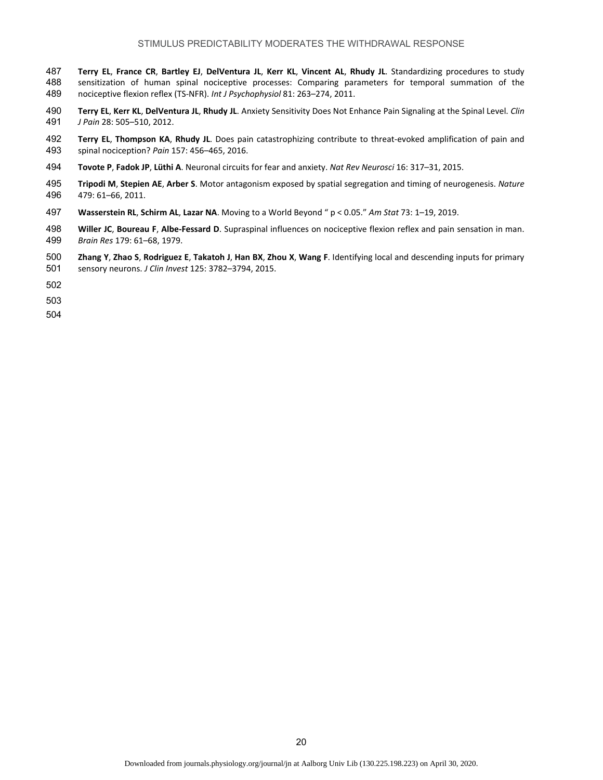- 487 **Terry EL, France CR, Bartley EJ, DelVentura JL, Kerr KL, Vincent AL, Rhudy JL. Standardizing procedures to study <br>488 sensitization of human spinal nociceptive processes: Comparing parameters for temporal summat** sensitization of human spinal nociceptive processes: Comparing parameters for temporal summation of the nociceptive flexion reflex (TS‐NFR). *Int J Psychophysiol* 81: 263–274, 2011.
- **Terry EL**, **Kerr KL**, **DelVentura JL**, **Rhudy JL**. Anxiety Sensitivity Does Not Enhance Pain Signaling at the Spinal Level. *Clin J Pain* 28: 505–510, 2012.
- **Terry EL**, **Thompson KA**, **Rhudy JL**. Does pain catastrophizing contribute to threat‐evoked amplification of pain and spinal nociception? *Pain* 157: 456–465, 2016.
- **Tovote P**, **Fadok JP**, **Lüthi A**. Neuronal circuits for fear and anxiety. *Nat Rev Neurosci* 16: 317–31, 2015.
- **Tripodi M**, **Stepien AE**, **Arber S**. Motor antagonism exposed by spatial segregation and timing of neurogenesis. *Nature* 479: 61–66, 2011.
- **Wasserstein RL**, **Schirm AL**, **Lazar NA**. Moving to a World Beyond " p < 0.05." *Am Stat* 73: 1–19, 2019.
- **Willer JC**, **Boureau F**, **Albe‐Fessard D**. Supraspinal influences on nociceptive flexion reflex and pain sensation in man. *Brain Res* 179: 61–68, 1979.
- **Zhang Y**, **Zhao S**, **Rodriguez E**, **Takatoh J**, **Han BX**, **Zhou X**, **Wang F**. Identifying local and descending inputs for primary sensory neurons. *J Clin Invest* 125: 3782–3794, 2015.
- 
- 
-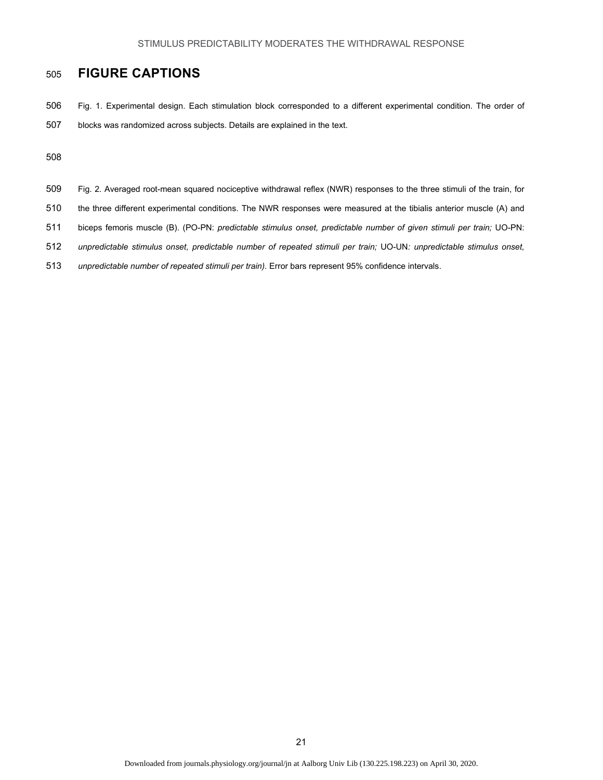# 505 **FIGURE CAPTIONS**

506 Fig. 1. Experimental design. Each stimulation block corresponded to a different experimental condition. The order of 507 blocks was randomized across subjects. Details are explained in the text.

- 509 Fig. 2. Averaged root-mean squared nociceptive withdrawal reflex (NWR) responses to the three stimuli of the train, for
- 510 the three different experimental conditions. The NWR responses were measured at the tibialis anterior muscle (A) and
- 511 biceps femoris muscle (B). (PO-PN: *predictable stimulus onset, predictable number of given stimuli per train;* UO-PN:
- 512 *unpredictable stimulus onset, predictable number of repeated stimuli per train;* UO-UN*: unpredictable stimulus onset,*
- 513 *unpredictable number of repeated stimuli per train).* Error bars represent 95% confidence intervals.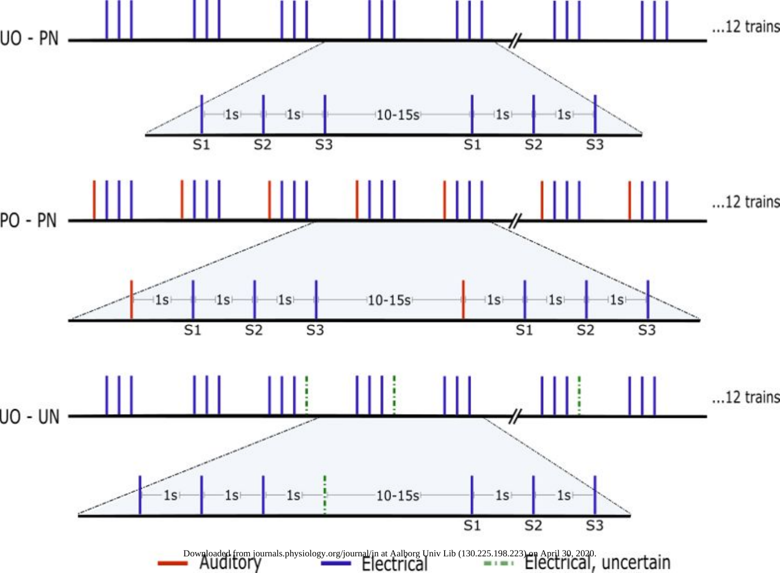